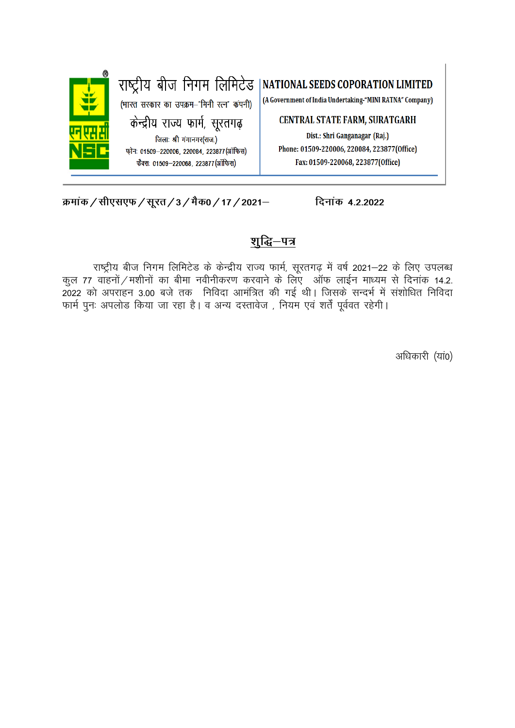

क्रमांक / सीएसएफ / सूरत / 3 / मैक0 / 17 / 2021-

## शुद्धि–पत्र

दिनांक 4.2.2022

राष्ट्रीय बीज निगम लिमिटेड के केन्द्रीय राज्य फार्म, सूरतगढ़ में वर्ष 2021-22 के लिए उपलब्ध कल 77 वाहनों / मशीनों का बीमा नवीनीकरण करवाने के लिए) ऑफ लाईन माध्यम से दिनांक 14.2. 2022 को अपराहन 3.00 बजे तक निविदा आमंत्रित की गई थी। जिसके सन्दर्भ में संशोधित निविदा फार्म पुनः अपलोड किया जा रहा है। व अन्य दस्तावेज, नियम एवं शर्तें पूर्ववत रहेगी।

अधिकारी (यां0)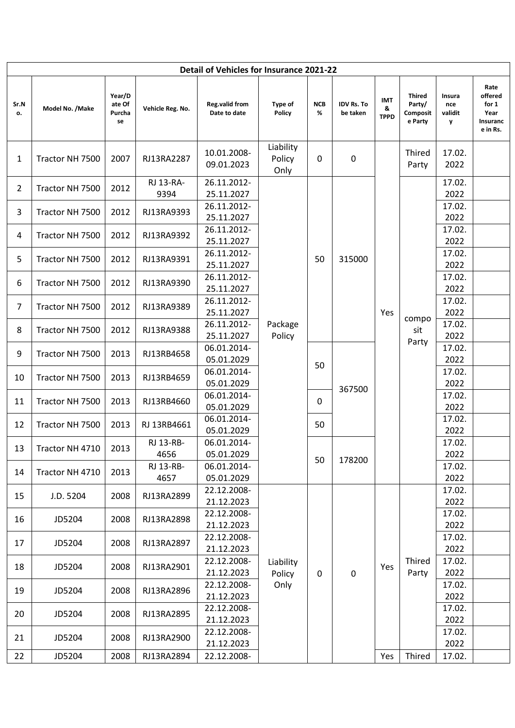| Detail of Vehicles for Insurance 2021-22 |                  |                                  |                   |                                       |                                            |                 |                               |                                |                                                |                               |                                                          |
|------------------------------------------|------------------|----------------------------------|-------------------|---------------------------------------|--------------------------------------------|-----------------|-------------------------------|--------------------------------|------------------------------------------------|-------------------------------|----------------------------------------------------------|
| Sr.N<br>о.                               | Model No. / Make | Year/D<br>ate Of<br>Purcha<br>se | Vehicle Reg. No.  | <b>Reg.valid from</b><br>Date to date | Type of<br>Policy                          | <b>NCB</b><br>% | <b>IDV Rs. To</b><br>be taken | <b>IMT</b><br>&<br><b>TPPD</b> | <b>Thired</b><br>Party/<br>Composit<br>e Party | Insura<br>nce<br>validit<br>y | Rate<br>offered<br>for 1<br>Year<br>Insuranc<br>e in Rs. |
| 1                                        | Tractor NH 7500  | 2007                             | RJ13RA2287        | 10.01.2008-<br>09.01.2023             | Liability<br>Policy<br>$\mathbf 0$<br>Only |                 | 0                             |                                | Thired<br>Party                                | 17.02.<br>2022                |                                                          |
| $\overline{2}$                           | Tractor NH 7500  | 2012                             | RJ 13-RA-<br>9394 | 26.11.2012-<br>25.11.2027             |                                            |                 |                               |                                | 17.02.<br>2022                                 |                               |                                                          |
| 3                                        | Tractor NH 7500  | 2012                             | RJ13RA9393        | 26.11.2012-<br>25.11.2027             |                                            |                 |                               |                                | compo<br>sit<br>Party                          | 17.02.<br>2022                |                                                          |
| 4                                        | Tractor NH 7500  | 2012                             | RJ13RA9392        | 26.11.2012-<br>25.11.2027             |                                            |                 |                               |                                |                                                | 17.02.<br>2022                |                                                          |
| 5                                        | Tractor NH 7500  | 2012                             | RJ13RA9391        | 26.11.2012-<br>25.11.2027             |                                            | 50              | 315000                        |                                |                                                | 17.02.<br>2022                |                                                          |
| 6                                        | Tractor NH 7500  | 2012                             | RJ13RA9390        | 26.11.2012-<br>25.11.2027             |                                            |                 |                               |                                |                                                | 17.02.<br>2022                |                                                          |
| $\overline{7}$                           | Tractor NH 7500  | 2012                             | RJ13RA9389        | 26.11.2012-<br>25.11.2027             | Package<br>Policy                          |                 |                               | Yes                            |                                                | 17.02.<br>2022                |                                                          |
| 8                                        | Tractor NH 7500  | 2012                             | RJ13RA9388        | 26.11.2012-<br>25.11.2027             |                                            |                 |                               |                                |                                                | 17.02.<br>2022                |                                                          |
| 9                                        | Tractor NH 7500  | 2013                             | RJ13RB4658        | 06.01.2014-<br>05.01.2029             |                                            | 50              |                               |                                |                                                | 17.02.<br>2022                |                                                          |
| 10                                       | Tractor NH 7500  | 2013                             | RJ13RB4659        | 06.01.2014-<br>05.01.2029             |                                            |                 | 367500                        |                                |                                                | 17.02.<br>2022                |                                                          |
| 11                                       | Tractor NH 7500  | 2013                             | RJ13RB4660        | 06.01.2014-<br>05.01.2029             |                                            | 0               |                               |                                |                                                | 17.02.<br>2022                |                                                          |
| 12                                       | Tractor NH 7500  | 2013                             | RJ 13RB4661       | 06.01.2014-<br>05.01.2029             |                                            | 50              |                               |                                |                                                | 17.02.<br>2022                |                                                          |
| 13                                       | Tractor NH 4710  | 2013                             | RJ 13-RB-<br>4656 | 06.01.2014-<br>05.01.2029             |                                            | 50              | 178200                        |                                |                                                | 17.02.<br>2022                |                                                          |
| 14                                       | Tractor NH 4710  | 2013                             | RJ 13-RB-<br>4657 | 06.01.2014-<br>05.01.2029             |                                            |                 |                               |                                |                                                | 17.02.<br>2022                |                                                          |
| 15                                       | J.D. 5204        | 2008                             | RJ13RA2899        | 22.12.2008-<br>21.12.2023             |                                            |                 |                               | Yes                            | Thired<br>Party                                | 17.02.<br>2022                |                                                          |
| 16                                       | JD5204           | 2008                             | RJ13RA2898        | 22.12.2008-<br>21.12.2023             | Liability<br>Policy<br>$\mathbf 0$<br>Only |                 |                               |                                |                                                | 17.02.<br>2022                |                                                          |
| 17                                       | JD5204           | 2008                             | RJ13RA2897        | 22.12.2008-<br>21.12.2023             |                                            |                 |                               |                                |                                                | 17.02.<br>2022                |                                                          |
| 18                                       | JD5204           | 2008                             | RJ13RA2901        | 22.12.2008-<br>21.12.2023             |                                            |                 | $\pmb{0}$                     |                                |                                                | 17.02.<br>2022                |                                                          |
| 19                                       | JD5204           | 2008                             | RJ13RA2896        | 22.12.2008-<br>21.12.2023             |                                            |                 |                               |                                |                                                | 17.02.<br>2022                |                                                          |
| 20                                       | JD5204           | 2008                             | RJ13RA2895        | 22.12.2008-<br>21.12.2023             |                                            |                 |                               |                                |                                                | 17.02.<br>2022                |                                                          |
| 21                                       | JD5204           | 2008                             | RJ13RA2900        | 22.12.2008-<br>21.12.2023             |                                            |                 |                               |                                |                                                | 17.02.<br>2022                |                                                          |
| 22                                       | JD5204           | 2008                             | RJ13RA2894        | 22.12.2008-                           |                                            |                 |                               | Yes                            | Thired                                         | 17.02.                        |                                                          |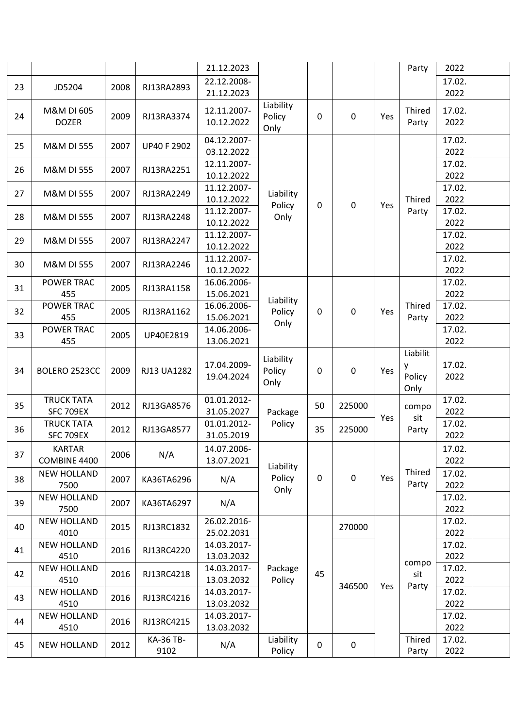|    |                            |      |                    | 21.12.2023                |                     |             |                  |     | Party           | 2022           |  |
|----|----------------------------|------|--------------------|---------------------------|---------------------|-------------|------------------|-----|-----------------|----------------|--|
|    |                            |      | RJ13RA2893         | 22.12.2008-               |                     |             |                  |     |                 | 17.02.         |  |
| 23 | JD5204                     | 2008 |                    | 21.12.2023                |                     |             |                  |     |                 | 2022           |  |
|    | M&M DI 605                 |      |                    | 12.11.2007-               | Liability           |             |                  |     | Thired          | 17.02.         |  |
| 24 | <b>DOZER</b>               | 2009 | RJ13RA3374         | 10.12.2022                | Policy              | 0           | 0                | Yes | Party           | 2022           |  |
|    |                            |      |                    |                           | Only                |             |                  |     |                 |                |  |
| 25 | M&M DI 555                 | 2007 | <b>UP40 F 2902</b> | 04.12.2007-<br>03.12.2022 |                     |             |                  |     |                 | 17.02.<br>2022 |  |
|    |                            |      |                    | 12.11.2007-               |                     |             |                  |     |                 | 17.02.         |  |
| 26 | M&M DI 555                 | 2007 | RJ13RA2251         | 10.12.2022                |                     |             |                  |     |                 | 2022           |  |
|    |                            |      |                    | 11.12.2007-               |                     |             |                  |     |                 | 17.02.         |  |
| 27 | M&M DI 555                 | 2007 | RJ13RA2249         | 10.12.2022                | Liability           |             |                  |     | Thired          | 2022           |  |
| 28 | <b>M&amp;M DI 555</b>      | 2007 | RJ13RA2248         | 11.12.2007-               | Policy<br>Only      | $\mathbf 0$ | 0                | Yes | Party           | 17.02.         |  |
|    |                            |      |                    | 10.12.2022                |                     |             |                  |     |                 | 2022           |  |
| 29 | M&M DI 555                 | 2007 | RJ13RA2247         | 11.12.2007-               |                     |             |                  |     |                 | 17.02.         |  |
|    |                            |      |                    | 10.12.2022                |                     |             |                  |     |                 | 2022           |  |
| 30 | <b>M&amp;M DI 555</b>      | 2007 | RJ13RA2246         | 11.12.2007-               |                     |             |                  |     |                 | 17.02.         |  |
|    | POWER TRAC                 |      |                    | 10.12.2022                |                     |             |                  |     |                 | 2022<br>17.02. |  |
| 31 | 455                        | 2005 | RJ13RA1158         | 16.06.2006-<br>15.06.2021 |                     |             |                  |     |                 | 2022           |  |
|    | <b>POWER TRAC</b>          |      |                    | 16.06.2006-               | Liability           | 0           | $\boldsymbol{0}$ | Yes | Thired<br>Party | 17.02.         |  |
| 32 | 455                        | 2005 | RJ13RA1162         | 15.06.2021                | Policy              |             |                  |     |                 | 2022           |  |
|    | POWER TRAC                 |      |                    | 14.06.2006-               | Only                |             |                  |     |                 | 17.02.         |  |
| 33 | 455                        | 2005 | UP40E2819          | 13.06.2021                |                     |             |                  |     |                 | 2022           |  |
|    |                            |      |                    |                           | Liability           |             |                  |     | Liabilit        |                |  |
| 34 | BOLERO 2523CC              | 2009 | RJ13 UA1282        | 17.04.2009-               | Policy              | 0           | 0                | Yes | у               | 17.02.         |  |
|    |                            |      |                    | 19.04.2024                | Only                |             |                  |     | Policy          | 2022           |  |
|    | <b>TRUCK TATA</b>          |      |                    | 01.01.2012-               |                     |             |                  |     | Only            | 17.02.         |  |
| 35 | <b>SFC 709EX</b>           | 2012 | RJ13GA8576         | 31.05.2027                | Package             | 50          | 225000           |     | compo           | 2022           |  |
|    | <b>TRUCK TATA</b>          |      |                    | 01.01.2012-               | Policy              |             | Yes              | sit | 17.02.          |                |  |
| 36 | <b>SFC 709EX</b>           | 2012 | RJ13GA8577         | 31.05.2019                |                     | 35          | 225000           |     | Party           | 2022           |  |
|    | <b>KARTAR</b>              |      |                    | 14.07.2006-               |                     |             |                  |     |                 | 17.02.         |  |
| 37 | COMBINE 4400               | 2006 | N/A                | 13.07.2021                |                     |             |                  |     |                 | 2022           |  |
|    | <b>NEW HOLLAND</b>         |      |                    |                           | Liability<br>Policy | $\mathbf 0$ | $\mathbf 0$      | Yes | Thired          | 17.02.         |  |
| 38 | 7500                       | 2007 | KA36TA6296         | N/A                       | Only                |             |                  |     | Party           | 2022           |  |
| 39 | <b>NEW HOLLAND</b>         | 2007 | KA36TA6297         | N/A                       |                     |             |                  |     |                 | 17.02.         |  |
|    | 7500                       |      |                    |                           |                     |             |                  |     |                 | 2022           |  |
| 40 | <b>NEW HOLLAND</b>         | 2015 | RJ13RC1832         | 26.02.2016-               |                     |             | 270000           |     |                 | 17.02.         |  |
|    | 4010                       |      |                    | 25.02.2031                |                     |             |                  |     |                 | 2022           |  |
| 41 | <b>NEW HOLLAND</b><br>4510 | 2016 | RJ13RC4220         | 14.03.2017-<br>13.03.2032 |                     |             |                  |     |                 | 17.02.<br>2022 |  |
|    | <b>NEW HOLLAND</b>         |      |                    | 14.03.2017-               | Package             |             |                  |     | compo           | 17.02.         |  |
| 42 | 4510                       | 2016 | RJ13RC4218         | 13.03.2032                | Policy              | 45          |                  |     | sit             | 2022           |  |
|    | <b>NEW HOLLAND</b>         |      |                    | 14.03.2017-               |                     |             | 346500           | Yes | Party           | 17.02.         |  |
| 43 | 4510                       | 2016 | RJ13RC4216         | 13.03.2032                |                     |             |                  |     |                 | 2022           |  |
| 44 | <b>NEW HOLLAND</b>         | 2016 | RJ13RC4215         | 14.03.2017-               |                     |             |                  |     |                 | 17.02.         |  |
|    | 4510                       |      |                    | 13.03.2032                |                     |             |                  |     |                 | 2022           |  |
| 45 | <b>NEW HOLLAND</b>         | 2012 | <b>KA-36 TB-</b>   | N/A                       | Liability           | $\mathbf 0$ | $\mathbf 0$      |     | Thired          | 17.02.         |  |
|    |                            |      | 9102               |                           | Policy              |             |                  |     | Party           | 2022           |  |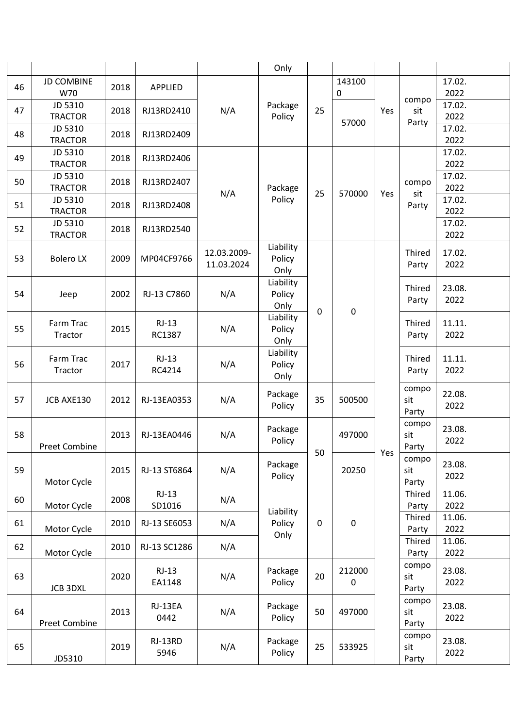|    |                           |      |                   |                           | Only                        |                  |             |                                                                                                                                                                               |                       |                |  |
|----|---------------------------|------|-------------------|---------------------------|-----------------------------|------------------|-------------|-------------------------------------------------------------------------------------------------------------------------------------------------------------------------------|-----------------------|----------------|--|
| 46 | <b>JD COMBINE</b><br>W70  | 2018 | <b>APPLIED</b>    |                           |                             |                  | 143100<br>0 |                                                                                                                                                                               |                       | 17.02.<br>2022 |  |
| 47 | JD 5310<br><b>TRACTOR</b> | 2018 | RJ13RD2410        | N/A                       | Package<br>Policy           | 25               |             | Yes                                                                                                                                                                           | compo<br>sit          | 17.02.<br>2022 |  |
| 48 | JD 5310<br><b>TRACTOR</b> | 2018 | RJ13RD2409        |                           |                             |                  | 57000       |                                                                                                                                                                               | Party                 | 17.02.<br>2022 |  |
| 49 | JD 5310<br><b>TRACTOR</b> | 2018 | RJ13RD2406        |                           |                             |                  |             |                                                                                                                                                                               |                       | 17.02.<br>2022 |  |
| 50 | JD 5310<br><b>TRACTOR</b> | 2018 | RJ13RD2407        | N/A                       | Package                     | 25               | 570000      | Yes                                                                                                                                                                           | compo<br>sit          | 17.02.<br>2022 |  |
| 51 | JD 5310<br><b>TRACTOR</b> | 2018 | RJ13RD2408        |                           | Policy                      |                  |             |                                                                                                                                                                               | Party                 | 17.02.<br>2022 |  |
| 52 | JD 5310<br><b>TRACTOR</b> | 2018 | RJ13RD2540        |                           |                             |                  |             |                                                                                                                                                                               |                       | 17.02.<br>2022 |  |
| 53 | <b>Bolero LX</b>          | 2009 | MP04CF9766        | 12.03.2009-<br>11.03.2024 | Liability<br>Policy<br>Only | $\mathbf 0$      | $\pmb{0}$   | Thired<br>Party<br>Thired<br>Party<br>Thired<br>Party<br>Thired<br>Party<br>compo<br>sit<br>Party<br>compo<br>sit<br>Party<br>Yes<br>compo<br>sit<br>Party<br>Thired<br>Party |                       | 17.02.<br>2022 |  |
| 54 | Jeep                      | 2002 | RJ-13 C7860       | N/A                       | Liability<br>Policy<br>Only |                  |             |                                                                                                                                                                               |                       | 23.08.<br>2022 |  |
| 55 | Farm Trac<br>Tractor      | 2015 | $RJ-13$<br>RC1387 | N/A                       | Liability<br>Policy<br>Only |                  |             |                                                                                                                                                                               |                       | 11.11.<br>2022 |  |
| 56 | Farm Trac<br>Tractor      | 2017 | $RJ-13$<br>RC4214 | N/A                       | Liability<br>Policy<br>Only |                  |             |                                                                                                                                                                               |                       | 11.11.<br>2022 |  |
| 57 | JCB AXE130                | 2012 | RJ-13EA0353       | N/A                       | Package<br>Policy           | 35               | 500500      |                                                                                                                                                                               |                       | 22.08.<br>2022 |  |
| 58 | <b>Preet Combine</b>      | 2013 | RJ-13EA0446       | N/A                       | Package<br>Policy           | 50               | 497000      |                                                                                                                                                                               | 23.08.<br>2022        |                |  |
| 59 | Motor Cycle               | 2015 | RJ-13 ST6864      | N/A                       | Package<br>Policy           |                  | 20250       |                                                                                                                                                                               |                       | 23.08.<br>2022 |  |
| 60 | Motor Cycle               | 2008 | $RJ-13$<br>SD1016 | N/A                       |                             |                  |             |                                                                                                                                                                               |                       | 11.06.<br>2022 |  |
| 61 | Motor Cycle               | 2010 | RJ-13 SE6053      | N/A                       | Liability<br>Policy         | $\boldsymbol{0}$ | $\pmb{0}$   |                                                                                                                                                                               | Thired<br>Party       | 11.06.<br>2022 |  |
| 62 | Motor Cycle               | 2010 | RJ-13 SC1286      | N/A                       | Only                        |                  |             |                                                                                                                                                                               | Thired<br>Party       | 11.06.<br>2022 |  |
| 63 | <b>JCB 3DXL</b>           | 2020 | $RJ-13$<br>EA1148 | N/A                       | Package<br>Policy           | 20               | 212000<br>0 |                                                                                                                                                                               | compo<br>sit<br>Party | 23.08.<br>2022 |  |
| 64 | <b>Preet Combine</b>      | 2013 | RJ-13EA<br>0442   | N/A                       | Package<br>Policy           | 50               | 497000      |                                                                                                                                                                               | compo<br>sit<br>Party | 23.08.<br>2022 |  |
| 65 | JD5310                    | 2019 | RJ-13RD<br>5946   | N/A                       | Package<br>Policy           | 25               | 533925      |                                                                                                                                                                               | compo<br>sit<br>Party | 23.08.<br>2022 |  |